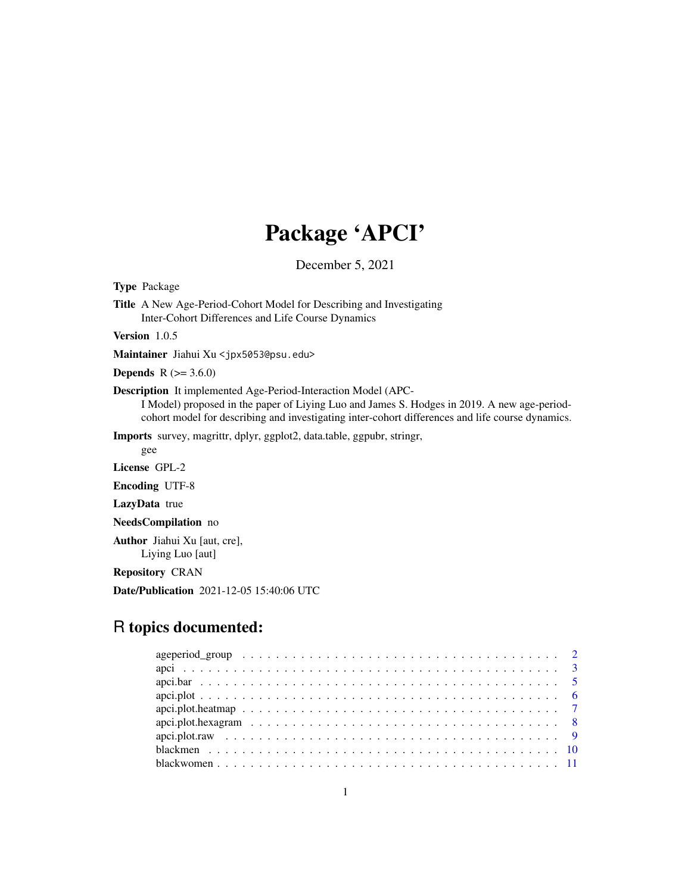# Package 'APCI'

December 5, 2021

Type Package

Title A New Age-Period-Cohort Model for Describing and Investigating Inter-Cohort Differences and Life Course Dynamics

Version 1.0.5

Maintainer Jiahui Xu <jpx5053@psu.edu>

**Depends** R  $(>= 3.6.0)$ 

Description It implemented Age-Period-Interaction Model (APC-

I Model) proposed in the paper of Liying Luo and James S. Hodges in 2019. A new age-periodcohort model for describing and investigating inter-cohort differences and life course dynamics.

Imports survey, magrittr, dplyr, ggplot2, data.table, ggpubr, stringr,

gee

License GPL-2

Encoding UTF-8

LazyData true

NeedsCompilation no

Author Jiahui Xu [aut, cre], Liying Luo [aut]

Repository CRAN

Date/Publication 2021-12-05 15:40:06 UTC

# R topics documented: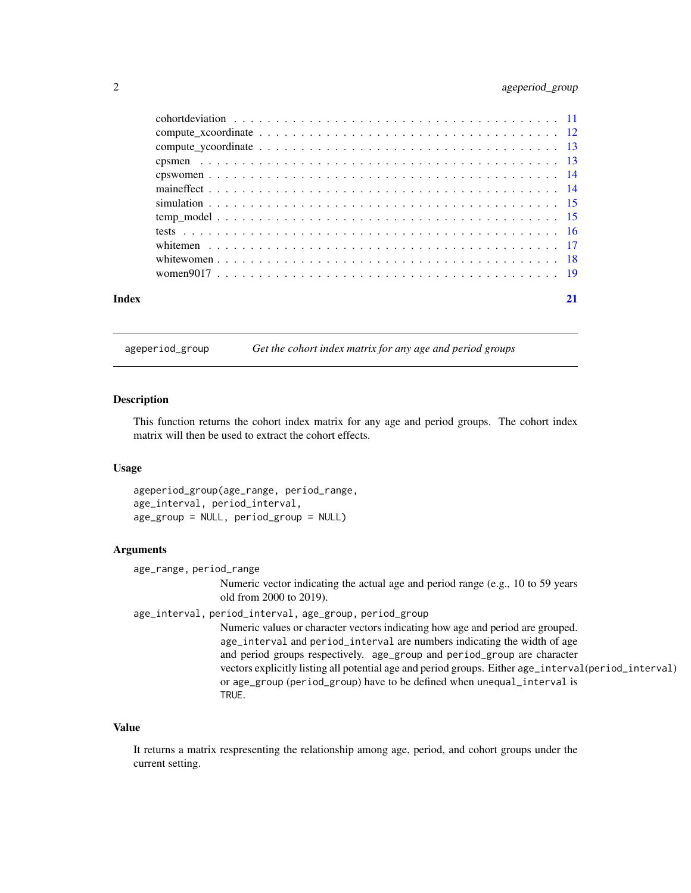#### <span id="page-1-0"></span>2 ageperiod\_group

| Index | 21 |
|-------|----|
|       |    |
|       |    |
|       |    |
|       |    |
|       |    |
|       |    |
|       |    |
|       |    |
|       |    |
|       |    |
|       |    |
|       |    |

ageperiod\_group *Get the cohort index matrix for any age and period groups*

#### Description

This function returns the cohort index matrix for any age and period groups. The cohort index matrix will then be used to extract the cohort effects.

#### Usage

ageperiod\_group(age\_range, period\_range, age\_interval, period\_interval, age\_group = NULL, period\_group = NULL)

#### Arguments

age\_range, period\_range

Numeric vector indicating the actual age and period range (e.g., 10 to 59 years old from 2000 to 2019).

age\_interval, period\_interval, age\_group, period\_group

Numeric values or character vectors indicating how age and period are grouped. age\_interval and period\_interval are numbers indicating the width of age and period groups respectively. age\_group and period\_group are character vectors explicitly listing all potential age and period groups. Either age\_interval(period\_interval) or age\_group (period\_group) have to be defined when unequal\_interval is TRUE.

#### Value

It returns a matrix respresenting the relationship among age, period, and cohort groups under the current setting.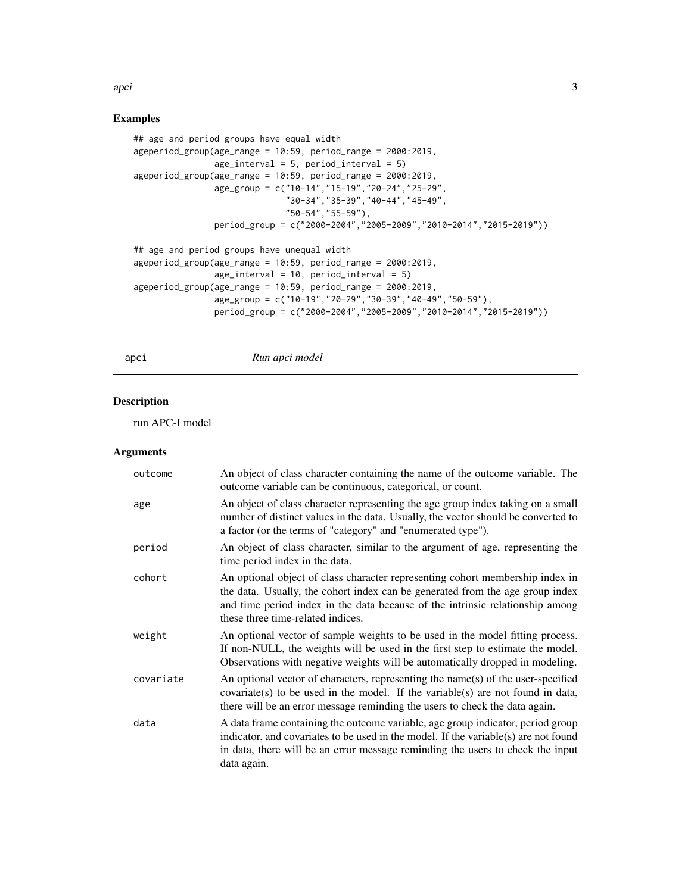<span id="page-2-0"></span>apci 3

#### Examples

```
## age and period groups have equal width
ageperiod_group(age_range = 10:59, period_range = 2000:2019,
                age\_interval = 5, period\_interval = 5)
ageperiod_group(age_range = 10:59, period_range = 2000:2019,
                age_group = c("10-14","15-19","20-24","25-29",
                              "30-34","35-39","40-44","45-49",
                              "50-54","55-59"),
                period_group = c("2000-2004","2005-2009","2010-2014","2015-2019"))
## age and period groups have unequal width
ageperiod_group(age_range = 10:59, period_range = 2000:2019,
                age_interval = 10, period_interval = 5)
ageperiod_group(age_range = 10:59, period_range = 2000:2019,
                age_group = c("10-19","20-29","30-39","40-49","50-59"),
                period_group = c("2000-2004","2005-2009","2010-2014","2015-2019"))
```
#### apci *Run apci model*

#### Description

run APC-I model

| outcome   | An object of class character containing the name of the outcome variable. The<br>outcome variable can be continuous, categorical, or count.                                                                                                                                          |
|-----------|--------------------------------------------------------------------------------------------------------------------------------------------------------------------------------------------------------------------------------------------------------------------------------------|
| age       | An object of class character representing the age group index taking on a small<br>number of distinct values in the data. Usually, the vector should be converted to<br>a factor (or the terms of "category" and "enumerated type").                                                 |
| period    | An object of class character, similar to the argument of age, representing the<br>time period index in the data.                                                                                                                                                                     |
| cohort    | An optional object of class character representing cohort membership index in<br>the data. Usually, the cohort index can be generated from the age group index<br>and time period index in the data because of the intrinsic relationship among<br>these three time-related indices. |
| weight    | An optional vector of sample weights to be used in the model fitting process.<br>If non-NULL, the weights will be used in the first step to estimate the model.<br>Observations with negative weights will be automatically dropped in modeling.                                     |
| covariate | An optional vector of characters, representing the name(s) of the user-specified<br>covariate(s) to be used in the model. If the variable(s) are not found in data,<br>there will be an error message reminding the users to check the data again.                                   |
| data      | A data frame containing the outcome variable, age group indicator, period group<br>indicator, and covariates to be used in the model. If the variable $(s)$ are not found<br>in data, there will be an error message reminding the users to check the input<br>data again.           |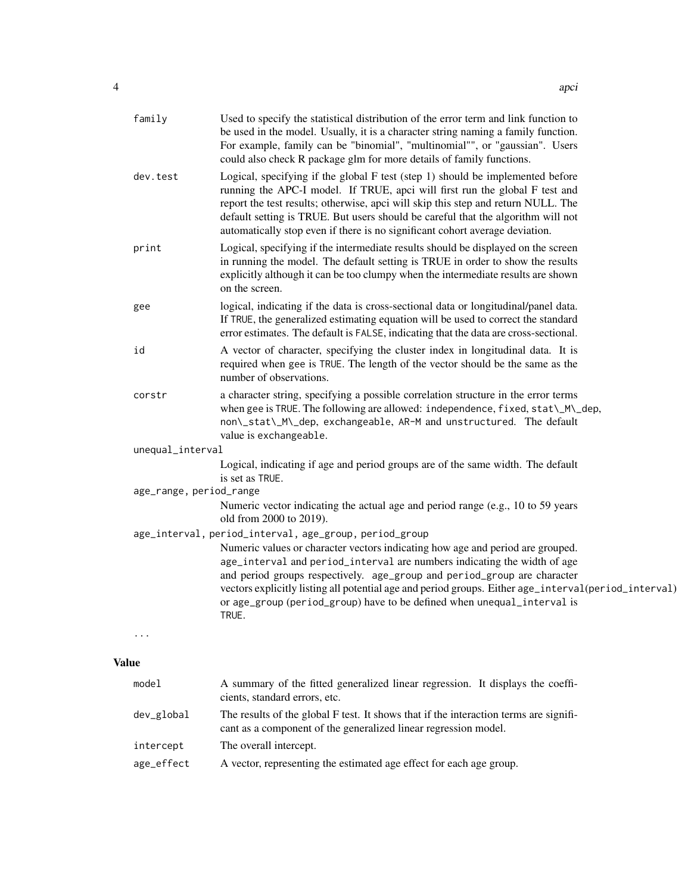| family                  | Used to specify the statistical distribution of the error term and link function to<br>be used in the model. Usually, it is a character string naming a family function.<br>For example, family can be "binomial", "multinomial"", or "gaussian". Users<br>could also check R package glm for more details of family functions.                                                                                        |
|-------------------------|------------------------------------------------------------------------------------------------------------------------------------------------------------------------------------------------------------------------------------------------------------------------------------------------------------------------------------------------------------------------------------------------------------------------|
| dev.test                | Logical, specifying if the global F test (step 1) should be implemented before<br>running the APC-I model. If TRUE, apci will first run the global F test and<br>report the test results; otherwise, apci will skip this step and return NULL. The<br>default setting is TRUE. But users should be careful that the algorithm will not<br>automatically stop even if there is no significant cohort average deviation. |
| print                   | Logical, specifying if the intermediate results should be displayed on the screen<br>in running the model. The default setting is TRUE in order to show the results<br>explicitly although it can be too clumpy when the intermediate results are shown<br>on the screen.                                                                                                                                              |
| gee                     | logical, indicating if the data is cross-sectional data or longitudinal/panel data.<br>If TRUE, the generalized estimating equation will be used to correct the standard<br>error estimates. The default is FALSE, indicating that the data are cross-sectional.                                                                                                                                                       |
| id                      | A vector of character, specifying the cluster index in longitudinal data. It is<br>required when gee is TRUE. The length of the vector should be the same as the<br>number of observations.                                                                                                                                                                                                                            |
| corstr                  | a character string, specifying a possible correlation structure in the error terms<br>when gee is TRUE. The following are allowed: independence, fixed, stat\_M\_dep,<br>non\_stat\_M\_dep, exchangeable, AR-M and unstructured. The default<br>value is exchangeable.                                                                                                                                                 |
| unequal_interval        |                                                                                                                                                                                                                                                                                                                                                                                                                        |
|                         | Logical, indicating if age and period groups are of the same width. The default<br>is set as TRUE.                                                                                                                                                                                                                                                                                                                     |
| age_range, period_range |                                                                                                                                                                                                                                                                                                                                                                                                                        |
|                         | Numeric vector indicating the actual age and period range (e.g., 10 to 59 years<br>old from 2000 to 2019).                                                                                                                                                                                                                                                                                                             |
|                         | age_interval, period_interval, age_group, period_group                                                                                                                                                                                                                                                                                                                                                                 |
|                         | Numeric values or character vectors indicating how age and period are grouped.<br>age_interval and period_interval are numbers indicating the width of age                                                                                                                                                                                                                                                             |
|                         | and period groups respectively. age_group and period_group are character                                                                                                                                                                                                                                                                                                                                               |
|                         | vectors explicitly listing all potential age and period groups. Either age_interval(period_interval)                                                                                                                                                                                                                                                                                                                   |
|                         | or age_group (period_group) have to be defined when unequal_interval is<br>TRUE.                                                                                                                                                                                                                                                                                                                                       |
| .                       |                                                                                                                                                                                                                                                                                                                                                                                                                        |
| Value                   |                                                                                                                                                                                                                                                                                                                                                                                                                        |

| model      | A summary of the fitted generalized linear regression. It displays the coeffi-<br>cients, standard errors, etc.                                          |
|------------|----------------------------------------------------------------------------------------------------------------------------------------------------------|
| dev_global | The results of the global F test. It shows that if the interaction terms are signifi-<br>cant as a component of the generalized linear regression model. |
| intercept  | The overall intercept.                                                                                                                                   |
| age_effect | A vector, representing the estimated age effect for each age group.                                                                                      |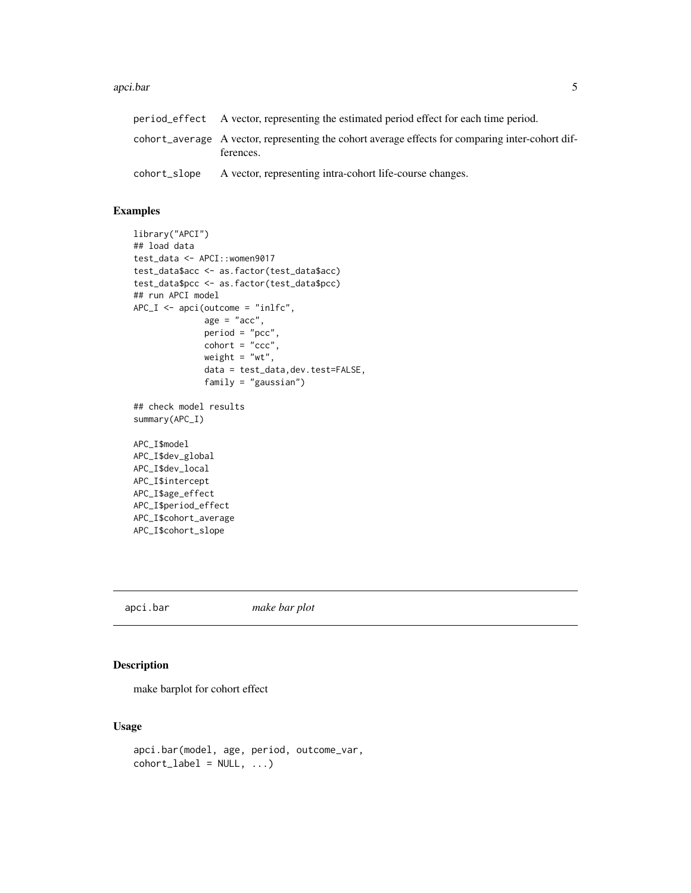#### <span id="page-4-0"></span>apci.bar 5

|              | period effect A vector, representing the estimated period effect for each time period.                        |
|--------------|---------------------------------------------------------------------------------------------------------------|
|              | cohort_average A vector, representing the cohort average effects for comparing inter-cohort dif-<br>ferences. |
| cohort_slope | A vector, representing intra-cohort life-course changes.                                                      |

### Examples

```
library("APCI")
## load data
test_data <- APCI::women9017
test_data$acc <- as.factor(test_data$acc)
test_data$pcc <- as.factor(test_data$pcc)
## run APCI model
APC_I \leftarrow \text{apci}(\text{outcome} = "inlfc",age = "acc",period = "pcc",
              \text{cohort} = "ccc",weight = "wt",
              data = test_data,dev.test=FALSE,
              family = "gaussian")
## check model results
summary(APC_I)
APC_I$model
APC_I$dev_global
APC_I$dev_local
APC_I$intercept
APC_I$age_effect
APC_I$period_effect
APC_I$cohort_average
APC_I$cohort_slope
```
apci.bar *make bar plot*

#### Description

make barplot for cohort effect

```
apci.bar(model, age, period, outcome_var,
\text{cohort}\_\text{label} = \text{NULL}, \dots
```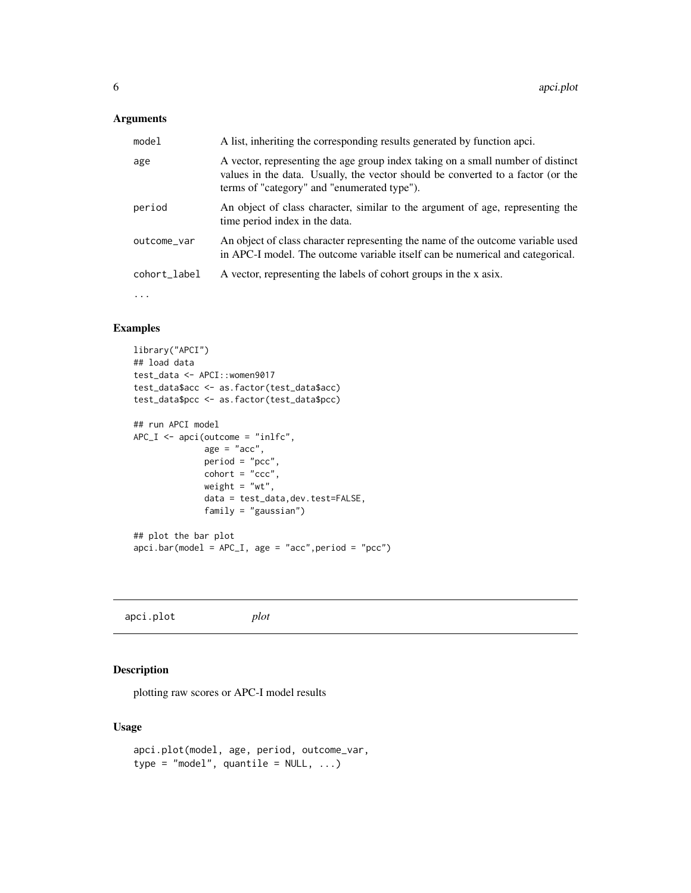<span id="page-5-0"></span>

| model        | A list, inheriting the corresponding results generated by function apci.                                                                                                                                          |
|--------------|-------------------------------------------------------------------------------------------------------------------------------------------------------------------------------------------------------------------|
| age          | A vector, representing the age group index taking on a small number of distinct<br>values in the data. Usually, the vector should be converted to a factor (or the<br>terms of "category" and "enumerated type"). |
| period       | An object of class character, similar to the argument of age, representing the<br>time period index in the data.                                                                                                  |
| outcome_var  | An object of class character representing the name of the outcome variable used<br>in APC-I model. The outcome variable itself can be numerical and categorical.                                                  |
| cohort_label | A vector, representing the labels of cohort groups in the x asix.                                                                                                                                                 |
|              |                                                                                                                                                                                                                   |

# Examples

```
library("APCI")
## load data
test_data <- APCI::women9017
test_data$acc <- as.factor(test_data$acc)
test_data$pcc <- as.factor(test_data$pcc)
## run APCI model
APC_I \leq -apci(outcome = "inlfc",age = "acc",period = "pcc",
              \text{cohort} = "ccc",weight = "wt",data = test_data,dev.test=FALSE,
              family = "gaussian")
## plot the bar plot
apci.bar(model = APC_I, age = "acc",period = "pcc")
```
apci.plot *plot*

#### Description

plotting raw scores or APC-I model results

```
apci.plot(model, age, period, outcome_var,
type = "model", quantile = NULL, ...)
```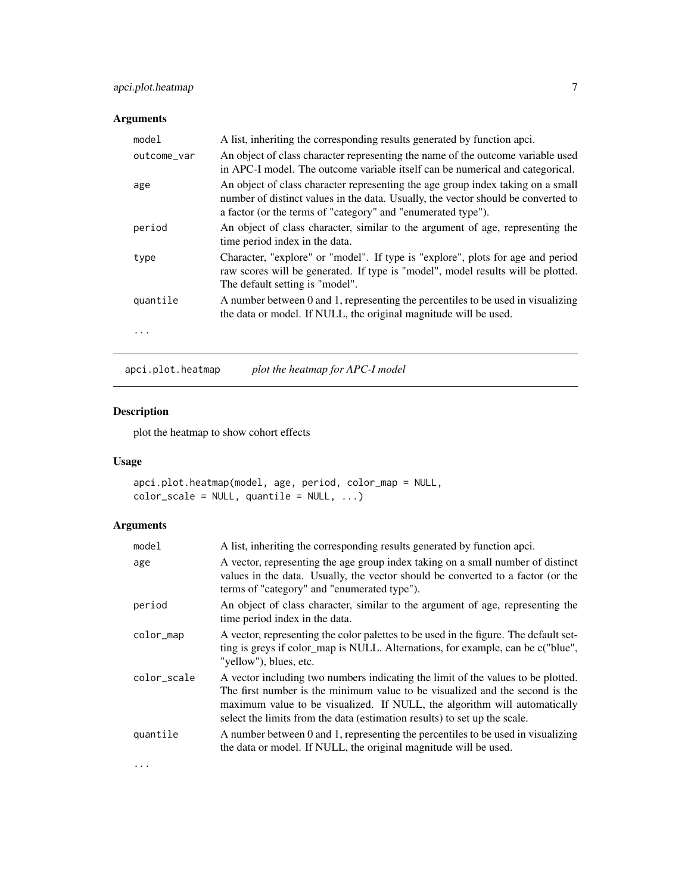<span id="page-6-0"></span>

| model       | A list, inheriting the corresponding results generated by function apci.                                                                                                                                                             |
|-------------|--------------------------------------------------------------------------------------------------------------------------------------------------------------------------------------------------------------------------------------|
| outcome_var | An object of class character representing the name of the outcome variable used<br>in APC-I model. The outcome variable itself can be numerical and categorical.                                                                     |
| age         | An object of class character representing the age group index taking on a small<br>number of distinct values in the data. Usually, the vector should be converted to<br>a factor (or the terms of "category" and "enumerated type"). |
| period      | An object of class character, similar to the argument of age, representing the<br>time period index in the data.                                                                                                                     |
| type        | Character, "explore" or "model". If type is "explore", plots for age and period<br>raw scores will be generated. If type is "model", model results will be plotted.<br>The default setting is "model".                               |
| quantile    | A number between 0 and 1, representing the percentiles to be used in visualizing<br>the data or model. If NULL, the original magnitude will be used.                                                                                 |
|             |                                                                                                                                                                                                                                      |

apci.plot.heatmap *plot the heatmap for APC-I model*

# Description

plot the heatmap to show cohort effects

#### Usage

```
apci.plot.heatmap(model, age, period, color_map = NULL,
color\_scale = NULL, quantile = NULL, ...
```

| model       | A list, inheriting the corresponding results generated by function apci.                                                                                                                                                                                                                                                   |
|-------------|----------------------------------------------------------------------------------------------------------------------------------------------------------------------------------------------------------------------------------------------------------------------------------------------------------------------------|
| age         | A vector, representing the age group index taking on a small number of distinct<br>values in the data. Usually, the vector should be converted to a factor (or the<br>terms of "category" and "enumerated type").                                                                                                          |
| period      | An object of class character, similar to the argument of age, representing the<br>time period index in the data.                                                                                                                                                                                                           |
| color_map   | A vector, representing the color palettes to be used in the figure. The default set-<br>ting is greys if color_map is NULL. Alternations, for example, can be c("blue",<br>"yellow"), blues, etc.                                                                                                                          |
| color_scale | A vector including two numbers indicating the limit of the values to be plotted.<br>The first number is the minimum value to be visualized and the second is the<br>maximum value to be visualized. If NULL, the algorithm will automatically<br>select the limits from the data (estimation results) to set up the scale. |
| quantile    | A number between 0 and 1, representing the percentiles to be used in visualizing<br>the data or model. If NULL, the original magnitude will be used.                                                                                                                                                                       |
| $\cdots$    |                                                                                                                                                                                                                                                                                                                            |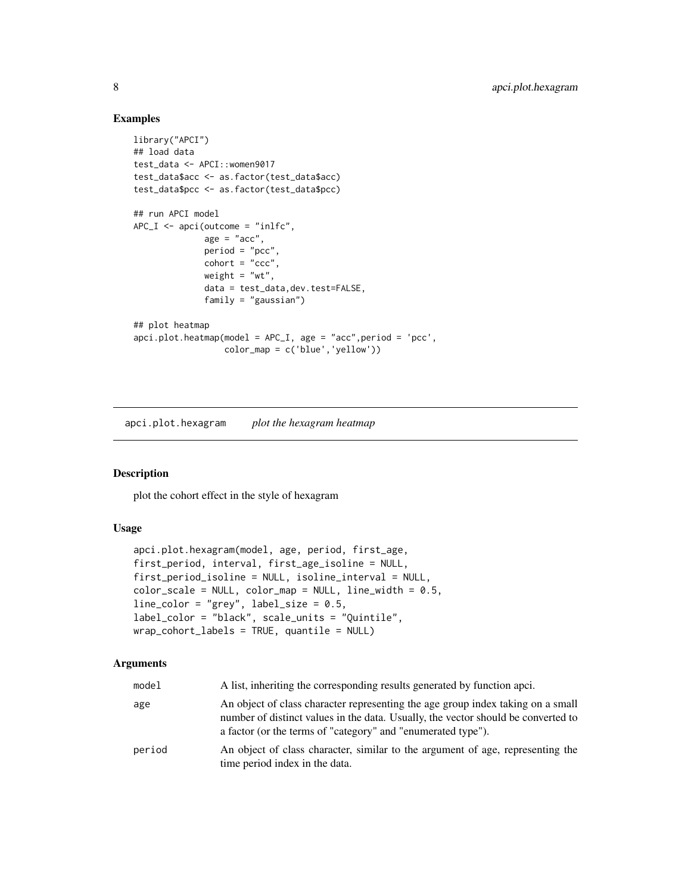#### Examples

```
library("APCI")
## load data
test_data <- APCI::women9017
test_data$acc <- as.factor(test_data$acc)
test_data$pcc <- as.factor(test_data$pcc)
## run APCI model
APC_I \leq -apci(outcome = "inlfc",age = "acc",period = "pcc",
              \text{cohort} = "ccc",weight = "wt",
              data = test_data,dev.test=FALSE,
              family = "gaussian")
## plot heatmap
apci.plot.heatmap(model = APC_I, age = "acc",period = 'pcc',
                  color_map = c('blue','yellow'))
```
apci.plot.hexagram *plot the hexagram heatmap*

#### Description

plot the cohort effect in the style of hexagram

#### Usage

```
apci.plot.hexagram(model, age, period, first_age,
first_period, interval, first_age_isoline = NULL,
first_period_isoline = NULL, isoline_interval = NULL,
color_scale = NULL, color_map = NULL, line_width = 0.5,
line\_color = "grey", label_size = 0.5,label_color = "black", scale_units = "Quintile",
wrap_cohort_labels = TRUE, quantile = NULL)
```

| model  | A list, inheriting the corresponding results generated by function apci.                                                                                                                                                             |
|--------|--------------------------------------------------------------------------------------------------------------------------------------------------------------------------------------------------------------------------------------|
| age    | An object of class character representing the age group index taking on a small<br>number of distinct values in the data. Usually, the vector should be converted to<br>a factor (or the terms of "category" and "enumerated type"). |
| period | An object of class character, similar to the argument of age, representing the<br>time period index in the data.                                                                                                                     |

<span id="page-7-0"></span>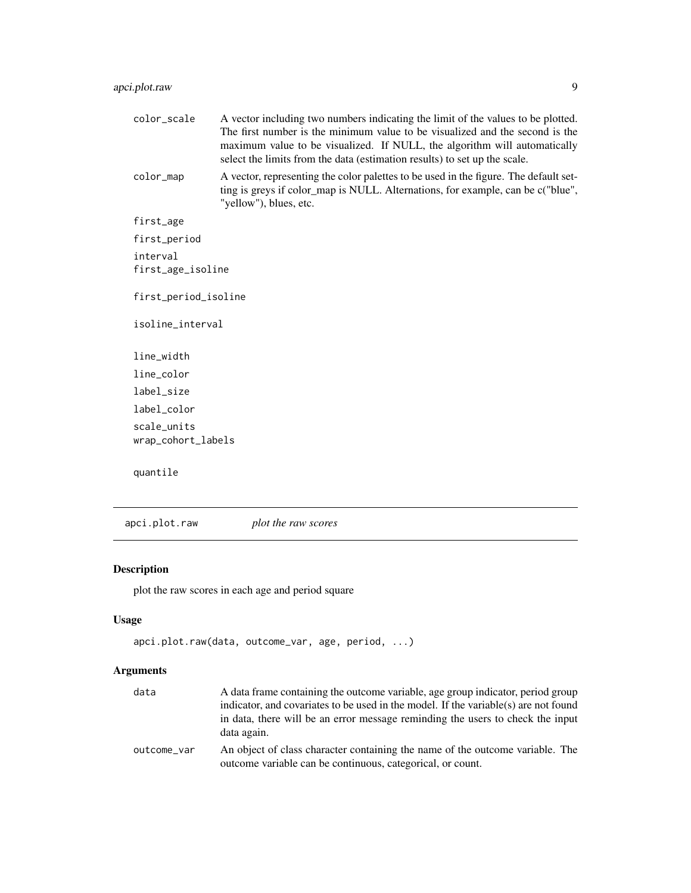<span id="page-8-0"></span>

| color_scale                       | A vector including two numbers indicating the limit of the values to be plotted.<br>The first number is the minimum value to be visualized and the second is the<br>maximum value to be visualized. If NULL, the algorithm will automatically<br>select the limits from the data (estimation results) to set up the scale. |
|-----------------------------------|----------------------------------------------------------------------------------------------------------------------------------------------------------------------------------------------------------------------------------------------------------------------------------------------------------------------------|
| color_map                         | A vector, representing the color palettes to be used in the figure. The default set-<br>ting is greys if color_map is NULL. Alternations, for example, can be c("blue",<br>"yellow"), blues, etc.                                                                                                                          |
| first_age                         |                                                                                                                                                                                                                                                                                                                            |
| first_period                      |                                                                                                                                                                                                                                                                                                                            |
| interval<br>first_age_isoline     |                                                                                                                                                                                                                                                                                                                            |
| first_period_isoline              |                                                                                                                                                                                                                                                                                                                            |
| isoline_interval                  |                                                                                                                                                                                                                                                                                                                            |
| line_width                        |                                                                                                                                                                                                                                                                                                                            |
| line_color                        |                                                                                                                                                                                                                                                                                                                            |
| label_size                        |                                                                                                                                                                                                                                                                                                                            |
| label color                       |                                                                                                                                                                                                                                                                                                                            |
| scale units<br>wrap_cohort_labels |                                                                                                                                                                                                                                                                                                                            |
| quantile                          |                                                                                                                                                                                                                                                                                                                            |

apci.plot.raw *plot the raw scores*

# Description

plot the raw scores in each age and period square

# Usage

```
apci.plot.raw(data, outcome_var, age, period, ...)
```

| data        | A data frame containing the outcome variable, age group indicator, period group                                                             |
|-------------|---------------------------------------------------------------------------------------------------------------------------------------------|
|             | indicator, and covariates to be used in the model. If the variable(s) are not found                                                         |
|             | in data, there will be an error message reminding the users to check the input<br>data again.                                               |
| outcome var | An object of class character containing the name of the outcome variable. The<br>outcome variable can be continuous, categorical, or count. |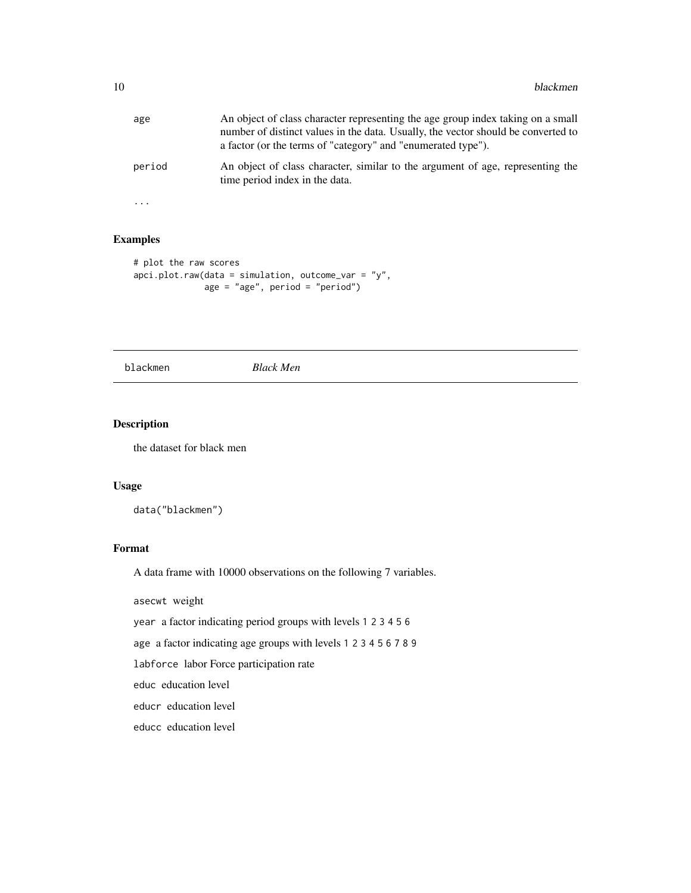<span id="page-9-0"></span>

| age    | An object of class character representing the age group index taking on a small<br>number of distinct values in the data. Usually, the vector should be converted to<br>a factor (or the terms of "category" and "enumerated type"). |
|--------|--------------------------------------------------------------------------------------------------------------------------------------------------------------------------------------------------------------------------------------|
| period | An object of class character, similar to the argument of age, representing the<br>time period index in the data.                                                                                                                     |

#### Examples

...

```
# plot the raw scores
apci.plot.raw(data = simulation, outcome_var = "y",age = "age", period = "period")
```
blackmen *Black Men*

#### Description

the dataset for black men

#### Usage

data("blackmen")

#### Format

A data frame with 10000 observations on the following 7 variables.

asecwt weight

year a factor indicating period groups with levels 1 2 3 4 5 6

age a factor indicating age groups with levels 1 2 3 4 5 6 7 8 9

labforce labor Force participation rate

educ education level

educr education level

educc education level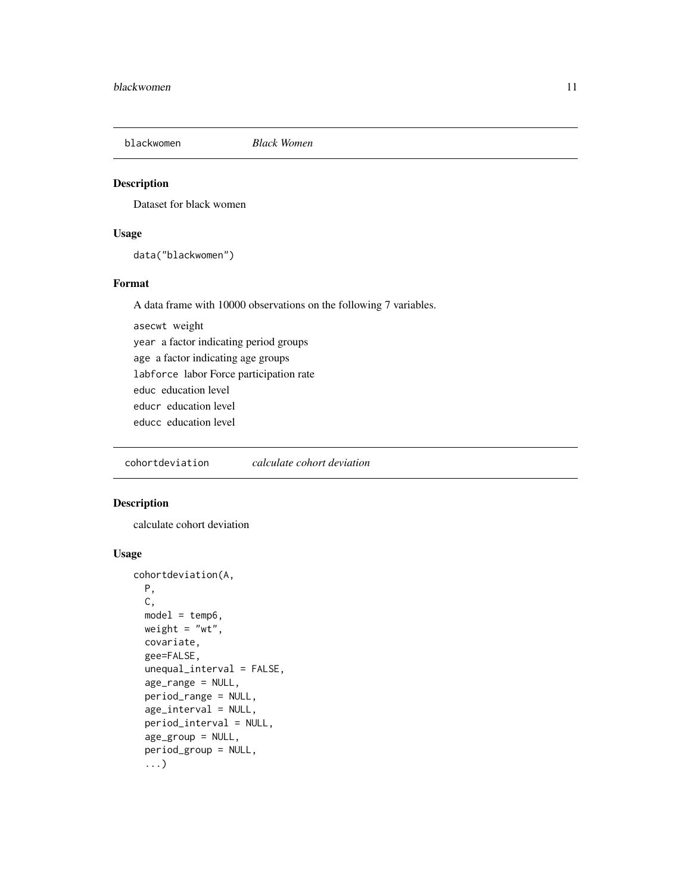<span id="page-10-0"></span>

#### Description

Dataset for black women

#### Usage

data("blackwomen")

#### Format

A data frame with 10000 observations on the following 7 variables.

asecwt weight year a factor indicating period groups age a factor indicating age groups labforce labor Force participation rate educ education level educr education level educc education level

cohortdeviation *calculate cohort deviation*

#### Description

calculate cohort deviation

```
cohortdeviation(A,
 P,
 C,
 model = temp6,weight = "wt",
  covariate,
  gee=FALSE,
  unequal_interval = FALSE,
  age_range = NULL,
 period_range = NULL,
  age_interval = NULL,
 period_interval = NULL,
  age_group = NULL,
  period_group = NULL,
  ...)
```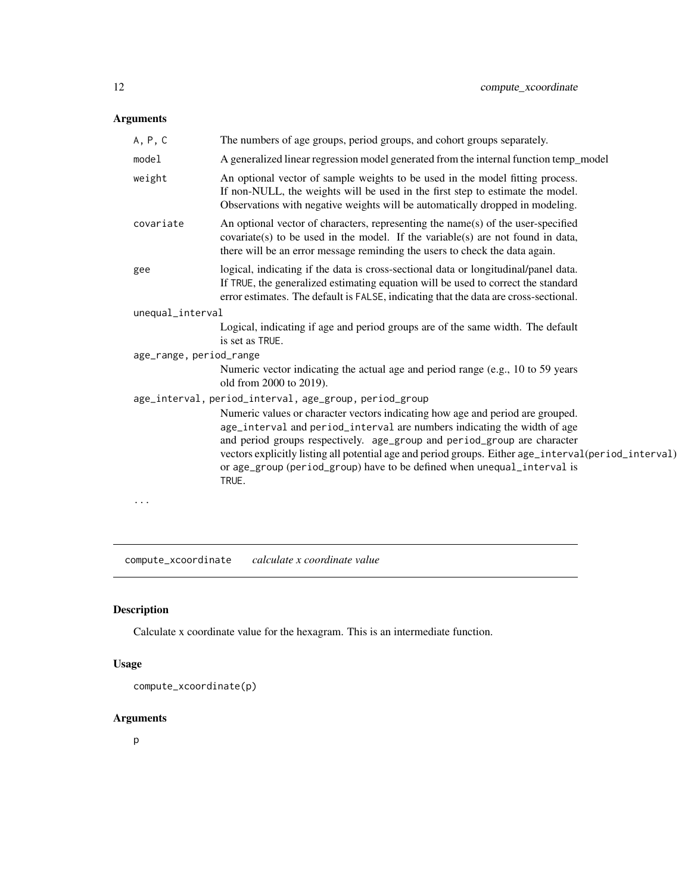<span id="page-11-0"></span>

| A, P, C                 | The numbers of age groups, period groups, and cohort groups separately.                                                                                                                                                                                                                                                                                                                                                                                                                      |
|-------------------------|----------------------------------------------------------------------------------------------------------------------------------------------------------------------------------------------------------------------------------------------------------------------------------------------------------------------------------------------------------------------------------------------------------------------------------------------------------------------------------------------|
| model                   | A generalized linear regression model generated from the internal function temp_model                                                                                                                                                                                                                                                                                                                                                                                                        |
| weight                  | An optional vector of sample weights to be used in the model fitting process.<br>If non-NULL, the weights will be used in the first step to estimate the model.<br>Observations with negative weights will be automatically dropped in modeling.                                                                                                                                                                                                                                             |
| covariate               | An optional vector of characters, representing the name(s) of the user-specified<br>covariate(s) to be used in the model. If the variable(s) are not found in data,<br>there will be an error message reminding the users to check the data again.                                                                                                                                                                                                                                           |
| gee                     | logical, indicating if the data is cross-sectional data or longitudinal/panel data.<br>If TRUE, the generalized estimating equation will be used to correct the standard<br>error estimates. The default is FALSE, indicating that the data are cross-sectional.                                                                                                                                                                                                                             |
| unequal_interval        |                                                                                                                                                                                                                                                                                                                                                                                                                                                                                              |
|                         | Logical, indicating if age and period groups are of the same width. The default<br>is set as TRUE.                                                                                                                                                                                                                                                                                                                                                                                           |
| age_range, period_range |                                                                                                                                                                                                                                                                                                                                                                                                                                                                                              |
|                         | Numeric vector indicating the actual age and period range (e.g., 10 to 59 years<br>old from 2000 to 2019).                                                                                                                                                                                                                                                                                                                                                                                   |
|                         | age_interval, period_interval, age_group, period_group<br>Numeric values or character vectors indicating how age and period are grouped.<br>age_interval and period_interval are numbers indicating the width of age<br>and period groups respectively. age_group and period_group are character<br>vectors explicitly listing all potential age and period groups. Either age_interval(period_interval)<br>or age_group (period_group) have to be defined when unequal_interval is<br>TRUE. |
|                         |                                                                                                                                                                                                                                                                                                                                                                                                                                                                                              |

compute\_xcoordinate *calculate x coordinate value*

# Description

Calculate x coordinate value for the hexagram. This is an intermediate function.

# Usage

```
compute_xcoordinate(p)
```
# Arguments

p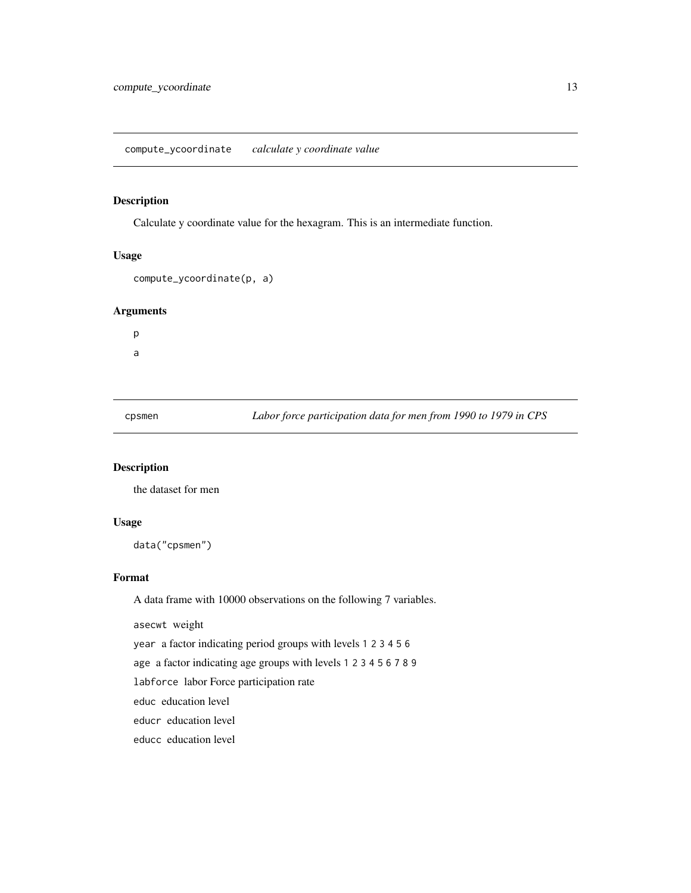<span id="page-12-0"></span>compute\_ycoordinate *calculate y coordinate value*

#### Description

Calculate y coordinate value for the hexagram. This is an intermediate function.

#### Usage

```
compute_ycoordinate(p, a)
```
#### Arguments

p a

cpsmen *Labor force participation data for men from 1990 to 1979 in CPS*

#### Description

the dataset for men

#### Usage

data("cpsmen")

#### Format

A data frame with 10000 observations on the following 7 variables.

asecwt weight

year a factor indicating period groups with levels 1 2 3 4 5 6

age a factor indicating age groups with levels 1 2 3 4 5 6 7 8 9

labforce labor Force participation rate

educ education level

educr education level

educc education level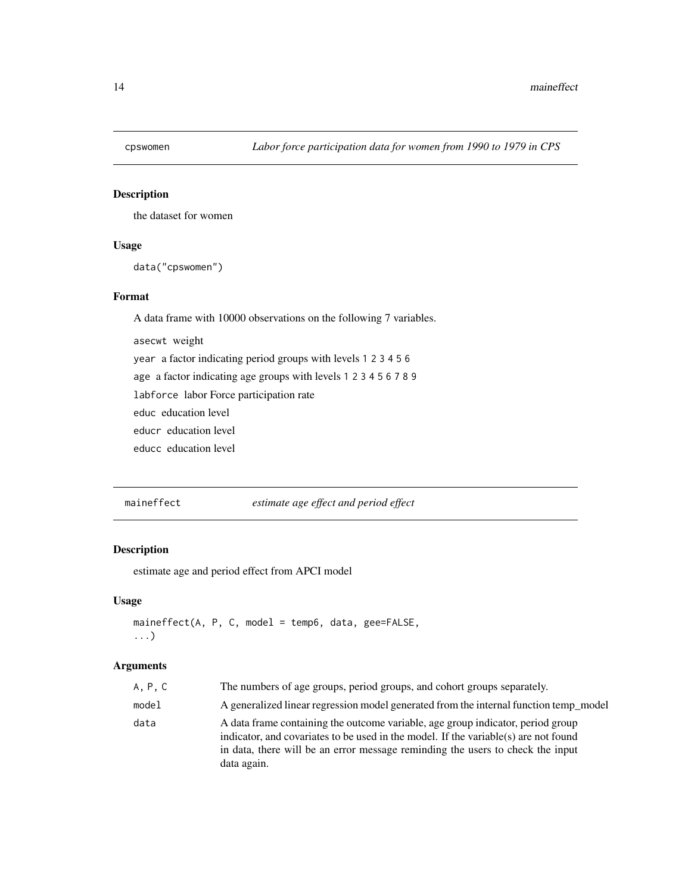<span id="page-13-0"></span>

#### Description

the dataset for women

#### Usage

data("cpswomen")

#### Format

A data frame with 10000 observations on the following 7 variables. asecwt weight

year a factor indicating period groups with levels 1 2 3 4 5 6

age a factor indicating age groups with levels 1 2 3 4 5 6 7 8 9

labforce labor Force participation rate

educ education level

educr education level

educc education level

maineffect *estimate age effect and period effect*

#### Description

estimate age and period effect from APCI model

#### Usage

```
maineffect(A, P, C, model = temp6, data, gee=FALSE,
...)
```

| A. P. C | The numbers of age groups, period groups, and cohort groups separately.                                                                                                                                                                                                 |
|---------|-------------------------------------------------------------------------------------------------------------------------------------------------------------------------------------------------------------------------------------------------------------------------|
| model   | A generalized linear regression model generated from the internal function temp_model                                                                                                                                                                                   |
| data    | A data frame containing the outcome variable, age group indicator, period group<br>indicator, and covariates to be used in the model. If the variable(s) are not found<br>in data, there will be an error message reminding the users to check the input<br>data again. |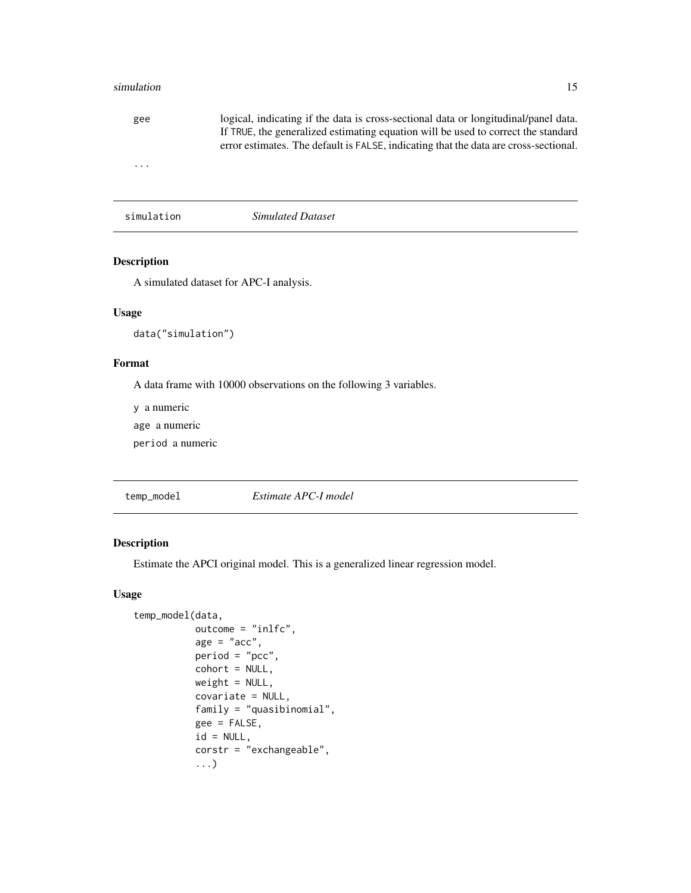#### <span id="page-14-0"></span>simulation and the state of the state of the state of the state of the state of the state of the state of the state of the state of the state of the state of the state of the state of the state of the state of the state of

| gee        | logical, indicating if the data is cross-sectional data or longitudinal/panel data.<br>If TRUE, the generalized estimating equation will be used to correct the standard<br>error estimates. The default is FALSE, indicating that the data are cross-sectional. |
|------------|------------------------------------------------------------------------------------------------------------------------------------------------------------------------------------------------------------------------------------------------------------------|
| .          |                                                                                                                                                                                                                                                                  |
| simulation | Simulated Dataset                                                                                                                                                                                                                                                |

#### Description

A simulated dataset for APC-I analysis.

#### Usage

data("simulation")

#### Format

A data frame with 10000 observations on the following 3 variables.

y a numeric

age a numeric

period a numeric

temp\_model *Estimate APC-I model*

#### Description

Estimate the APCI original model. This is a generalized linear regression model.

```
temp_model(data,
          outcome = "inlfc",
          age = "acc",period = "pcc",
          cohort = NULL,weight = NULL,
          covariate = NULL,
          family = "quasibinomial",
          gee = FALSE,
          id = NULL,corstr = "exchangeable",
           ...)
```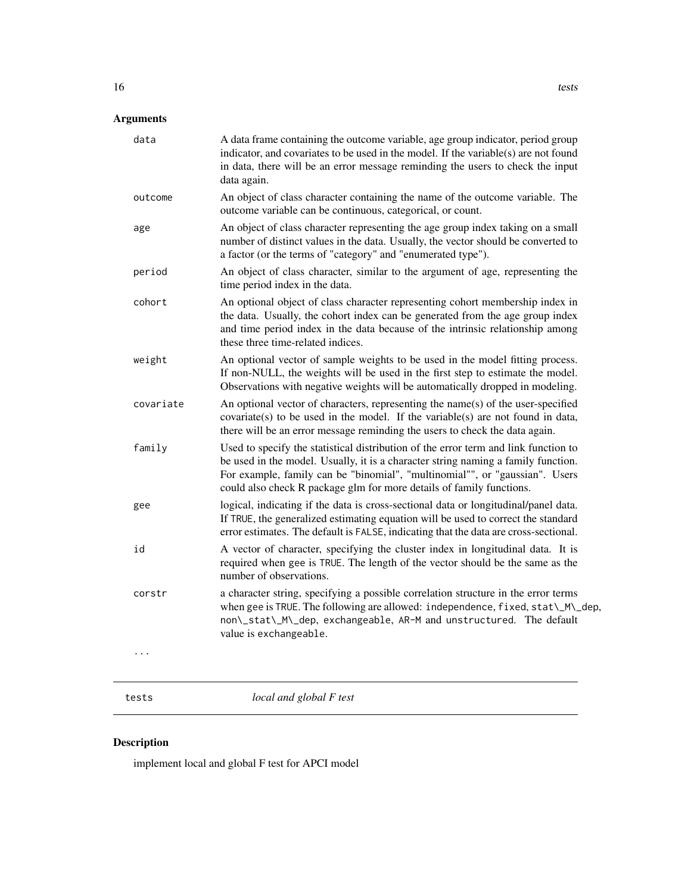<span id="page-15-0"></span>

| data      | A data frame containing the outcome variable, age group indicator, period group<br>indicator, and covariates to be used in the model. If the variable(s) are not found<br>in data, there will be an error message reminding the users to check the input<br>data again.                                                         |
|-----------|---------------------------------------------------------------------------------------------------------------------------------------------------------------------------------------------------------------------------------------------------------------------------------------------------------------------------------|
| outcome   | An object of class character containing the name of the outcome variable. The<br>outcome variable can be continuous, categorical, or count.                                                                                                                                                                                     |
| age       | An object of class character representing the age group index taking on a small<br>number of distinct values in the data. Usually, the vector should be converted to<br>a factor (or the terms of "category" and "enumerated type").                                                                                            |
| period    | An object of class character, similar to the argument of age, representing the<br>time period index in the data.                                                                                                                                                                                                                |
| cohort    | An optional object of class character representing cohort membership index in<br>the data. Usually, the cohort index can be generated from the age group index<br>and time period index in the data because of the intrinsic relationship among<br>these three time-related indices.                                            |
| weight    | An optional vector of sample weights to be used in the model fitting process.<br>If non-NULL, the weights will be used in the first step to estimate the model.<br>Observations with negative weights will be automatically dropped in modeling.                                                                                |
| covariate | An optional vector of characters, representing the name(s) of the user-specified<br>covariate(s) to be used in the model. If the variable(s) are not found in data,<br>there will be an error message reminding the users to check the data again.                                                                              |
| family    | Used to specify the statistical distribution of the error term and link function to<br>be used in the model. Usually, it is a character string naming a family function.<br>For example, family can be "binomial", "multinomial"", or "gaussian". Users<br>could also check R package glm for more details of family functions. |
| gee       | logical, indicating if the data is cross-sectional data or longitudinal/panel data.<br>If TRUE, the generalized estimating equation will be used to correct the standard<br>error estimates. The default is FALSE, indicating that the data are cross-sectional.                                                                |
| id        | A vector of character, specifying the cluster index in longitudinal data. It is<br>required when gee is TRUE. The length of the vector should be the same as the<br>number of observations.                                                                                                                                     |
| corstr    | a character string, specifying a possible correlation structure in the error terms<br>when gee is TRUE. The following are allowed: independence, fixed, stat\_M\_dep,<br>non\_stat\_M\_dep, exchangeable, AR-M and unstructured. The default<br>value is exchangeable.                                                          |
|           |                                                                                                                                                                                                                                                                                                                                 |

tests *local and global F test*

# Description

implement local and global F test for APCI model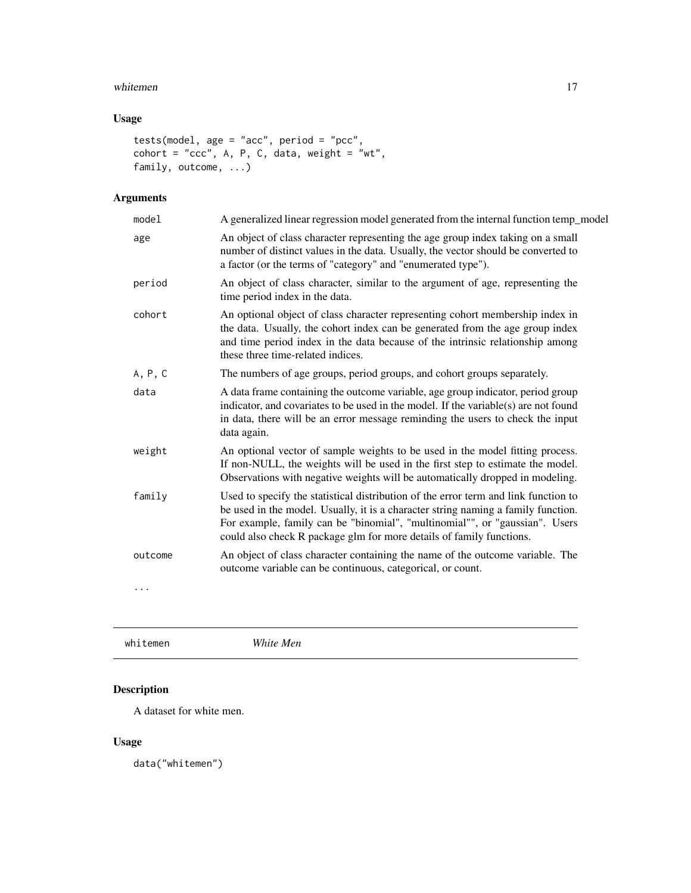#### <span id="page-16-0"></span>whitemen 17

## Usage

```
tests(model, age = "acc", period = "pcc",
cohort = "ccc", A, P, C, data, weight = "wt",
family, outcome, ...)
```
# Arguments

| model   | A generalized linear regression model generated from the internal function temp_model                                                                                                                                                                                                                                           |
|---------|---------------------------------------------------------------------------------------------------------------------------------------------------------------------------------------------------------------------------------------------------------------------------------------------------------------------------------|
| age     | An object of class character representing the age group index taking on a small<br>number of distinct values in the data. Usually, the vector should be converted to<br>a factor (or the terms of "category" and "enumerated type").                                                                                            |
| period  | An object of class character, similar to the argument of age, representing the<br>time period index in the data.                                                                                                                                                                                                                |
| cohort  | An optional object of class character representing cohort membership index in<br>the data. Usually, the cohort index can be generated from the age group index<br>and time period index in the data because of the intrinsic relationship among<br>these three time-related indices.                                            |
| A, P, C | The numbers of age groups, period groups, and cohort groups separately.                                                                                                                                                                                                                                                         |
| data    | A data frame containing the outcome variable, age group indicator, period group<br>indicator, and covariates to be used in the model. If the variable(s) are not found<br>in data, there will be an error message reminding the users to check the input<br>data again.                                                         |
| weight  | An optional vector of sample weights to be used in the model fitting process.<br>If non-NULL, the weights will be used in the first step to estimate the model.<br>Observations with negative weights will be automatically dropped in modeling.                                                                                |
| family  | Used to specify the statistical distribution of the error term and link function to<br>be used in the model. Usually, it is a character string naming a family function.<br>For example, family can be "binomial", "multinomial"", or "gaussian". Users<br>could also check R package glm for more details of family functions. |
| outcome | An object of class character containing the name of the outcome variable. The<br>outcome variable can be continuous, categorical, or count.                                                                                                                                                                                     |
| .       |                                                                                                                                                                                                                                                                                                                                 |
|         |                                                                                                                                                                                                                                                                                                                                 |

whitemen *White Men*

# Description

A dataset for white men.

#### Usage

data("whitemen")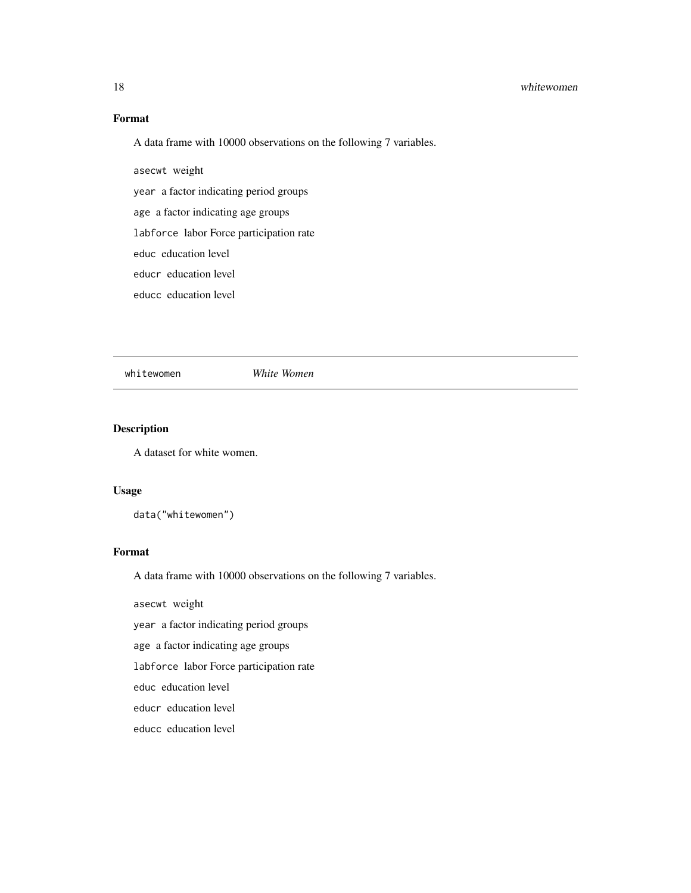#### <span id="page-17-0"></span>18 whitewomen white women white women white women white women white women white women white women white women white women white women white women white women white women white women white women white women white women whit

### Format

A data frame with 10000 observations on the following 7 variables.

asecwt weight

year a factor indicating period groups

age a factor indicating age groups

labforce labor Force participation rate

educ education level

educr education level

educc education level

whitewomen *White Women*

# Description

A dataset for white women.

#### Usage

data("whitewomen")

### Format

A data frame with 10000 observations on the following 7 variables.

asecwt weight

year a factor indicating period groups

age a factor indicating age groups

labforce labor Force participation rate

educ education level

educr education level

educc education level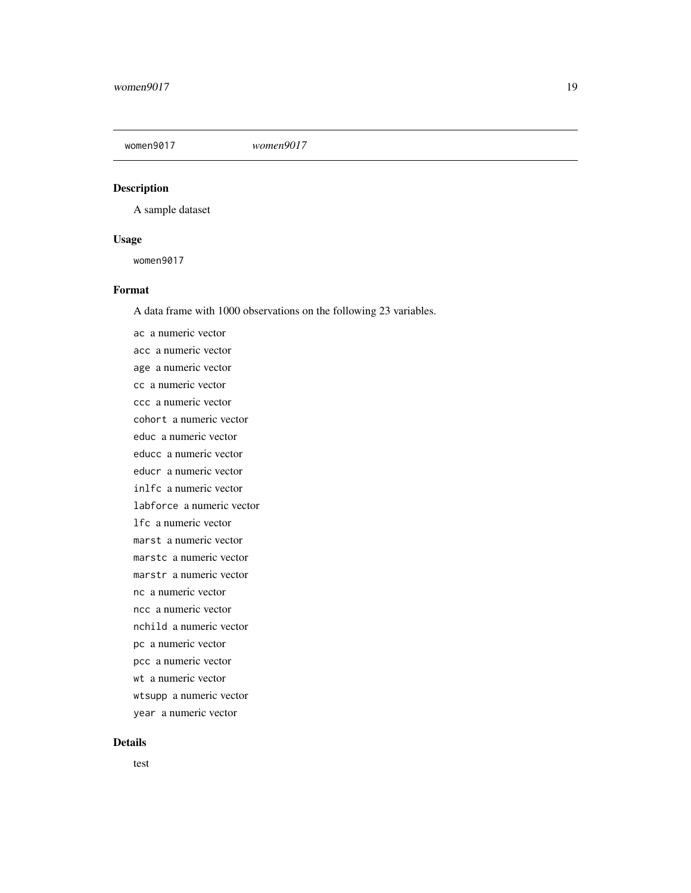<span id="page-18-0"></span>

#### Description

A sample dataset

#### Usage

women9017

#### Format

A data frame with 1000 observations on the following 23 variables.

ac a numeric vector acc a numeric vector age a numeric vector cc a numeric vector ccc a numeric vector cohort a numeric vector educ a numeric vector educc a numeric vector educr a numeric vector inlfc a numeric vector labforce a numeric vector lfc a numeric vector marst a numeric vector marstc a numeric vector marstr a numeric vector nc a numeric vector ncc a numeric vector nchild a numeric vector pc a numeric vector pcc a numeric vector wt a numeric vector wtsupp a numeric vector year a numeric vector

#### Details

test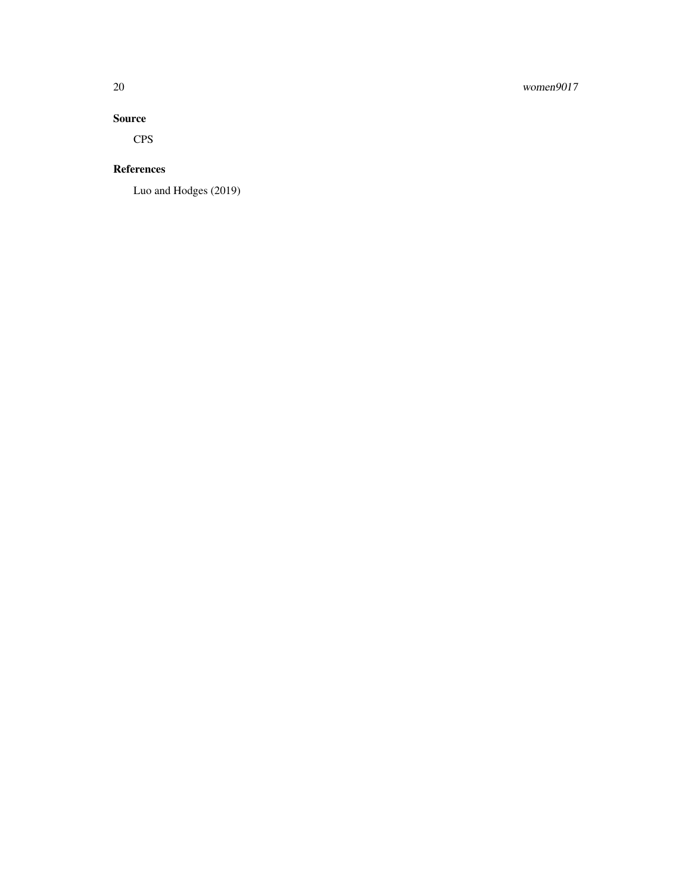# 20 women9017

#### Source

CPS

#### References

Luo and Hodges (2019)